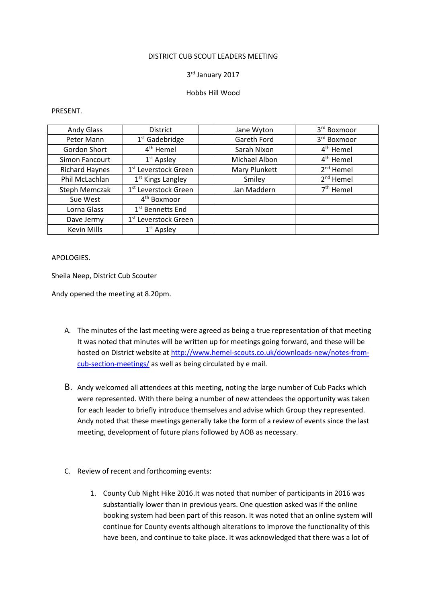#### DISTRICT CUB SCOUT LEADERS MEETING

## 3 rd January 2017

## Hobbs Hill Wood

#### PRESENT.

| <b>Andy Glass</b>     | <b>District</b>                  | Jane Wyton    | 3 <sup>rd</sup> Boxmoor |
|-----------------------|----------------------------------|---------------|-------------------------|
| Peter Mann            | $1st$ Gadebridge                 | Gareth Ford   | 3rd Boxmoor             |
| Gordon Short          | 4 <sup>th</sup> Hemel            | Sarah Nixon   | 4 <sup>th</sup> Hemel   |
| Simon Fancourt        | $1st$ Apsley                     | Michael Albon | 4 <sup>th</sup> Hemel   |
| <b>Richard Haynes</b> | 1 <sup>st</sup> Leverstock Green | Mary Plunkett | $2nd$ Hemel             |
| Phil McLachlan        | 1 <sup>st</sup> Kings Langley    | Smiley        | 2 <sup>nd</sup> Hemel   |
| <b>Steph Memczak</b>  | 1 <sup>st</sup> Leverstock Green | Jan Maddern   | $7th$ Hemel             |
| Sue West              | 4 <sup>th</sup> Boxmoor          |               |                         |
| Lorna Glass           | 1 <sup>st</sup> Bennetts End     |               |                         |
| Dave Jermy            | 1 <sup>st</sup> Leverstock Green |               |                         |
| <b>Kevin Mills</b>    | $1st$ Apsley                     |               |                         |

# APOLOGIES.

Sheila Neep, District Cub Scouter

Andy opened the meeting at 8.20pm.

- A. The minutes of the last meeting were agreed as being a true representation of that meeting It was noted that minutes will be written up for meetings going forward, and these will be hosted on District website at http://www.hemel-scouts.co.uk/downloads-new/notes-fromcub-section-meetings/ as well as being circulated by e mail.
- B. Andy welcomed all attendees at this meeting, noting the large number of Cub Packs which were represented. With there being a number of new attendees the opportunity was taken for each leader to briefly introduce themselves and advise which Group they represented. Andy noted that these meetings generally take the form of a review of events since the last meeting, development of future plans followed by AOB as necessary.
- C. Review of recent and forthcoming events:
	- 1. County Cub Night Hike 2016.It was noted that number of participants in 2016 was substantially lower than in previous years. One question asked was if the online booking system had been part of this reason. It was noted that an online system will continue for County events although alterations to improve the functionality of this have been, and continue to take place. It was acknowledged that there was a lot of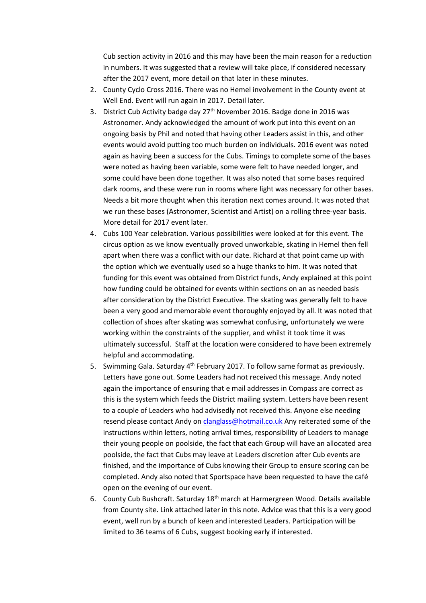Cub section activity in 2016 and this may have been the main reason for a reduction in numbers. It was suggested that a review will take place, if considered necessary after the 2017 event, more detail on that later in these minutes.

- 2. County Cyclo Cross 2016. There was no Hemel involvement in the County event at Well End. Event will run again in 2017. Detail later.
- 3. District Cub Activity badge day 27<sup>th</sup> November 2016. Badge done in 2016 was Astronomer. Andy acknowledged the amount of work put into this event on an ongoing basis by Phil and noted that having other Leaders assist in this, and other events would avoid putting too much burden on individuals. 2016 event was noted again as having been a success for the Cubs. Timings to complete some of the bases were noted as having been variable, some were felt to have needed longer, and some could have been done together. It was also noted that some bases required dark rooms, and these were run in rooms where light was necessary for other bases. Needs a bit more thought when this iteration next comes around. It was noted that we run these bases (Astronomer, Scientist and Artist) on a rolling three-year basis. More detail for 2017 event later.
- 4. Cubs 100 Year celebration. Various possibilities were looked at for this event. The circus option as we know eventually proved unworkable, skating in Hemel then fell apart when there was a conflict with our date. Richard at that point came up with the option which we eventually used so a huge thanks to him. It was noted that funding for this event was obtained from District funds, Andy explained at this point how funding could be obtained for events within sections on an as needed basis after consideration by the District Executive. The skating was generally felt to have been a very good and memorable event thoroughly enjoyed by all. It was noted that collection of shoes after skating was somewhat confusing, unfortunately we were working within the constraints of the supplier, and whilst it took time it was ultimately successful. Staff at the location were considered to have been extremely helpful and accommodating.
- 5. Swimming Gala. Saturday 4th February 2017. To follow same format as previously. Letters have gone out. Some Leaders had not received this message. Andy noted again the importance of ensuring that e mail addresses in Compass are correct as this is the system which feeds the District mailing system. Letters have been resent to a couple of Leaders who had advisedly not received this. Anyone else needing resend please contact Andy on clanglass@hotmail.co.uk Any reiterated some of the instructions within letters, noting arrival times, responsibility of Leaders to manage their young people on poolside, the fact that each Group will have an allocated area poolside, the fact that Cubs may leave at Leaders discretion after Cub events are finished, and the importance of Cubs knowing their Group to ensure scoring can be completed. Andy also noted that Sportspace have been requested to have the café open on the evening of our event.
- 6. County Cub Bushcraft. Saturday 18<sup>th</sup> march at Harmergreen Wood. Details available from County site. Link attached later in this note. Advice was that this is a very good event, well run by a bunch of keen and interested Leaders. Participation will be limited to 36 teams of 6 Cubs, suggest booking early if interested.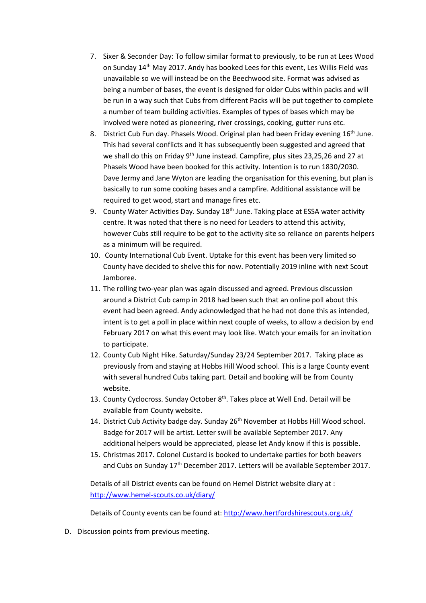- 7. Sixer & Seconder Day: To follow similar format to previously, to be run at Lees Wood on Sunday 14th May 2017. Andy has booked Lees for this event, Les Willis Field was unavailable so we will instead be on the Beechwood site. Format was advised as being a number of bases, the event is designed for older Cubs within packs and will be run in a way such that Cubs from different Packs will be put together to complete a number of team building activities. Examples of types of bases which may be involved were noted as pioneering, river crossings, cooking, gutter runs etc.
- 8. District Cub Fun day. Phasels Wood. Original plan had been Friday evening 16<sup>th</sup> June. This had several conflicts and it has subsequently been suggested and agreed that we shall do this on Friday 9<sup>th</sup> June instead. Campfire, plus sites 23,25,26 and 27 at Phasels Wood have been booked for this activity. Intention is to run 1830/2030. Dave Jermy and Jane Wyton are leading the organisation for this evening, but plan is basically to run some cooking bases and a campfire. Additional assistance will be required to get wood, start and manage fires etc.
- 9. County Water Activities Day. Sunday  $18<sup>th</sup>$  June. Taking place at ESSA water activity centre. It was noted that there is no need for Leaders to attend this activity, however Cubs still require to be got to the activity site so reliance on parents helpers as a minimum will be required.
- 10. County International Cub Event. Uptake for this event has been very limited so County have decided to shelve this for now. Potentially 2019 inline with next Scout Jamboree.
- 11. The rolling two-year plan was again discussed and agreed. Previous discussion around a District Cub camp in 2018 had been such that an online poll about this event had been agreed. Andy acknowledged that he had not done this as intended, intent is to get a poll in place within next couple of weeks, to allow a decision by end February 2017 on what this event may look like. Watch your emails for an invitation to participate.
- 12. County Cub Night Hike. Saturday/Sunday 23/24 September 2017. Taking place as previously from and staying at Hobbs Hill Wood school. This is a large County event with several hundred Cubs taking part. Detail and booking will be from County website.
- 13. County Cyclocross. Sunday October 8<sup>th</sup>. Takes place at Well End. Detail will be available from County website.
- 14. District Cub Activity badge day. Sunday 26<sup>th</sup> November at Hobbs Hill Wood school. Badge for 2017 will be artist. Letter swill be available September 2017. Any additional helpers would be appreciated, please let Andy know if this is possible.
- 15. Christmas 2017. Colonel Custard is booked to undertake parties for both beavers and Cubs on Sunday 17<sup>th</sup> December 2017. Letters will be available September 2017.

Details of all District events can be found on Hemel District website diary at : http://www.hemel-scouts.co.uk/diary/

Details of County events can be found at: http://www.hertfordshirescouts.org.uk/

D. Discussion points from previous meeting.